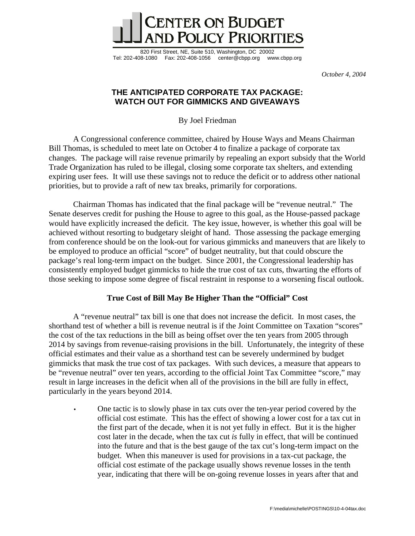

820 First Street, NE, Suite 510, Washington, DC 20002 Tel: 202-408-1080 Fax: 202-408-1056 center@cbpp.org www.cbpp.org

*October 4, 2004* 

## **THE ANTICIPATED CORPORATE TAX PACKAGE: WATCH OUT FOR GIMMICKS AND GIVEAWAYS**

By Joel Friedman

 A Congressional conference committee, chaired by House Ways and Means Chairman Bill Thomas, is scheduled to meet late on October 4 to finalize a package of corporate tax changes. The package will raise revenue primarily by repealing an export subsidy that the World Trade Organization has ruled to be illegal, closing some corporate tax shelters, and extending expiring user fees. It will use these savings not to reduce the deficit or to address other national priorities, but to provide a raft of new tax breaks, primarily for corporations.

 Chairman Thomas has indicated that the final package will be "revenue neutral." The Senate deserves credit for pushing the House to agree to this goal, as the House-passed package would have explicitly increased the deficit. The key issue, however, is whether this goal will be achieved without resorting to budgetary sleight of hand. Those assessing the package emerging from conference should be on the look-out for various gimmicks and maneuvers that are likely to be employed to produce an official "score" of budget neutrality, but that could obscure the package's real long-term impact on the budget. Since 2001, the Congressional leadership has consistently employed budget gimmicks to hide the true cost of tax cuts, thwarting the efforts of those seeking to impose some degree of fiscal restraint in response to a worsening fiscal outlook.

## **True Cost of Bill May Be Higher Than the "Official" Cost**

A "revenue neutral" tax bill is one that does not increase the deficit. In most cases, the shorthand test of whether a bill is revenue neutral is if the Joint Committee on Taxation "scores" the cost of the tax reductions in the bill as being offset over the ten years from 2005 through 2014 by savings from revenue-raising provisions in the bill. Unfortunately, the integrity of these official estimates and their value as a shorthand test can be severely undermined by budget gimmicks that mask the true cost of tax packages. With such devices, a measure that appears to be "revenue neutral" over ten years, according to the official Joint Tax Committee "score," may result in large increases in the deficit when all of the provisions in the bill are fully in effect, particularly in the years beyond 2014.

• One tactic is to slowly phase in tax cuts over the ten-year period covered by the official cost estimate. This has the effect of showing a lower cost for a tax cut in the first part of the decade, when it is not yet fully in effect. But it is the higher cost later in the decade, when the tax cut *is* fully in effect, that will be continued into the future and that is the best gauge of the tax cut's long-term impact on the budget. When this maneuver is used for provisions in a tax-cut package, the official cost estimate of the package usually shows revenue losses in the tenth year, indicating that there will be on-going revenue losses in years after that and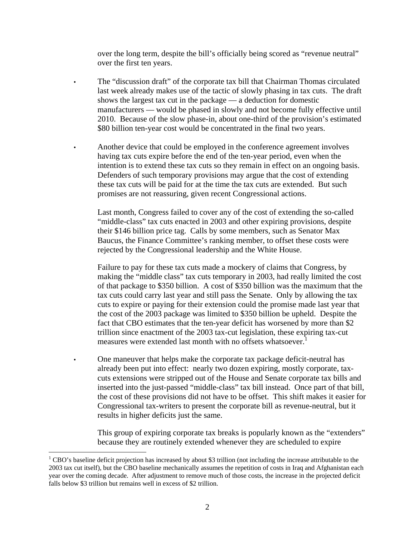over the long term, despite the bill's officially being scored as "revenue neutral" over the first ten years.

- The "discussion draft" of the corporate tax bill that Chairman Thomas circulated last week already makes use of the tactic of slowly phasing in tax cuts. The draft shows the largest tax cut in the package — a deduction for domestic manufacturers — would be phased in slowly and not become fully effective until 2010. Because of the slow phase-in, about one-third of the provision's estimated \$80 billion ten-year cost would be concentrated in the final two years.
- Another device that could be employed in the conference agreement involves having tax cuts expire before the end of the ten-year period, even when the intention is to extend these tax cuts so they remain in effect on an ongoing basis. Defenders of such temporary provisions may argue that the cost of extending these tax cuts will be paid for at the time the tax cuts are extended. But such promises are not reassuring, given recent Congressional actions.

Last month, Congress failed to cover any of the cost of extending the so-called "middle-class" tax cuts enacted in 2003 and other expiring provisions, despite their \$146 billion price tag. Calls by some members, such as Senator Max Baucus, the Finance Committee's ranking member, to offset these costs were rejected by the Congressional leadership and the White House.

Failure to pay for these tax cuts made a mockery of claims that Congress, by making the "middle class" tax cuts temporary in 2003, had really limited the cost of that package to \$350 billion. A cost of \$350 billion was the maximum that the tax cuts could carry last year and still pass the Senate. Only by allowing the tax cuts to expire or paying for their extension could the promise made last year that the cost of the 2003 package was limited to \$350 billion be upheld. Despite the fact that CBO estimates that the ten-year deficit has worsened by more than \$2 trillion since enactment of the 2003 tax-cut legislation, these expiring tax-cut measures were extended last month with no offsets whatsoever.<sup>1</sup>

• One maneuver that helps make the corporate tax package deficit-neutral has already been put into effect: nearly two dozen expiring, mostly corporate, taxcuts extensions were stripped out of the House and Senate corporate tax bills and inserted into the just-passed "middle-class" tax bill instead. Once part of that bill, the cost of these provisions did not have to be offset. This shift makes it easier for Congressional tax-writers to present the corporate bill as revenue-neutral, but it results in higher deficits just the same.

This group of expiring corporate tax breaks is popularly known as the "extenders" because they are routinely extended whenever they are scheduled to expire

 $\overline{a}$ 

 $1^1$  CBO's baseline deficit projection has increased by about \$3 trillion (not including the increase attributable to the 2003 tax cut itself), but the CBO baseline mechanically assumes the repetition of costs in Iraq and Afghanistan each year over the coming decade. After adjustment to remove much of those costs, the increase in the projected deficit falls below \$3 trillion but remains well in excess of \$2 trillion.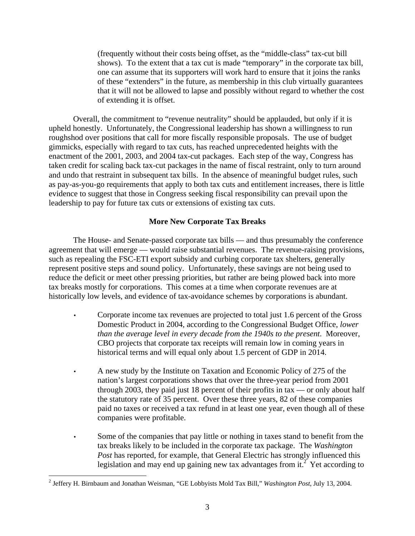(frequently without their costs being offset, as the "middle-class" tax-cut bill shows). To the extent that a tax cut is made "temporary" in the corporate tax bill, one can assume that its supporters will work hard to ensure that it joins the ranks of these "extenders" in the future, as membership in this club virtually guarantees that it will not be allowed to lapse and possibly without regard to whether the cost of extending it is offset.

 Overall, the commitment to "revenue neutrality" should be applauded, but only if it is upheld honestly. Unfortunately, the Congressional leadership has shown a willingness to run roughshod over positions that call for more fiscally responsible proposals. The use of budget gimmicks, especially with regard to tax cuts, has reached unprecedented heights with the enactment of the 2001, 2003, and 2004 tax-cut packages. Each step of the way, Congress has taken credit for scaling back tax-cut packages in the name of fiscal restraint, only to turn around and undo that restraint in subsequent tax bills. In the absence of meaningful budget rules, such as pay-as-you-go requirements that apply to both tax cuts and entitlement increases, there is little evidence to suggest that those in Congress seeking fiscal responsibility can prevail upon the leadership to pay for future tax cuts or extensions of existing tax cuts.

## **More New Corporate Tax Breaks**

 The House- and Senate-passed corporate tax bills — and thus presumably the conference agreement that will emerge — would raise substantial revenues. The revenue-raising provisions, such as repealing the FSC-ETI export subsidy and curbing corporate tax shelters, generally represent positive steps and sound policy. Unfortunately, these savings are not being used to reduce the deficit or meet other pressing priorities, but rather are being plowed back into more tax breaks mostly for corporations. This comes at a time when corporate revenues are at historically low levels, and evidence of tax-avoidance schemes by corporations is abundant.

- Corporate income tax revenues are projected to total just 1.6 percent of the Gross Domestic Product in 2004, according to the Congressional Budget Office, *lower than the average level in every decade from the 1940s to the present*. Moreover, CBO projects that corporate tax receipts will remain low in coming years in historical terms and will equal only about 1.5 percent of GDP in 2014.
- A new study by the Institute on Taxation and Economic Policy of 275 of the nation's largest corporations shows that over the three-year period from 2001 through 2003, they paid just 18 percent of their profits in tax — or only about half the statutory rate of 35 percent. Over these three years, 82 of these companies paid no taxes or received a tax refund in at least one year, even though all of these companies were profitable.
- Some of the companies that pay little or nothing in taxes stand to benefit from the tax breaks likely to be included in the corporate tax package. The *Washington Post* has reported, for example, that General Electric has strongly influenced this legislation and may end up gaining new tax advantages from it.<sup>2</sup> Yet according to

 $\overline{a}$ 

<sup>2</sup> Jeffery H. Birnbaum and Jonathan Weisman, "GE Lobbyists Mold Tax Bill," *Washington Post*, July 13, 2004.